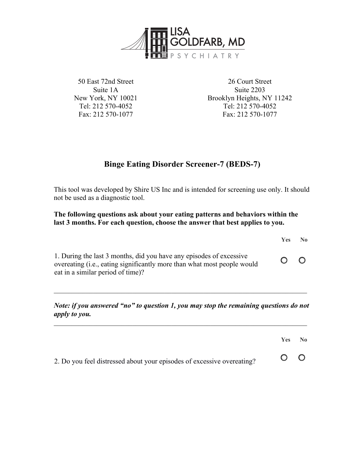

50 East 72nd Street Suite 1A New York, NY 10021 Tel: 212 570-4052 Fax: 212 570-1077

26 Court Street Suite 2203 Brooklyn Heights, NY 11242 Tel: 212 570-4052 Fax: 212 570-1077

**Yes No**

## **Binge Eating Disorder Screener-7 (BEDS-7)**

This tool was developed by Shire US Inc and is intended for screening use only. It should not be used as a diagnostic tool.

**The following questions ask about your eating patterns and behaviors within the last 3 months. For each question, choose the answer that best applies to you.**

| 1. During the last 3 months, did you have any episodes of excessive<br>overeating (i.e., eating significantly more than what most people would<br>eat in a similar period of time)? | $\bigcirc$ | $\circ$ |
|-------------------------------------------------------------------------------------------------------------------------------------------------------------------------------------|------------|---------|
|                                                                                                                                                                                     |            |         |

*Note: if you answered "no" to question 1, you may stop the remaining questions do not apply to you.*

 $\mathcal{L} = \{ \mathcal{L} \mathcal{L} \mathcal{L} \mathcal{L} \mathcal{L} \mathcal{L} \mathcal{L} \mathcal{L} \mathcal{L} \mathcal{L} \mathcal{L} \mathcal{L} \mathcal{L} \mathcal{L} \mathcal{L} \mathcal{L} \mathcal{L} \mathcal{L} \mathcal{L} \mathcal{L} \mathcal{L} \mathcal{L} \mathcal{L} \mathcal{L} \mathcal{L} \mathcal{L} \mathcal{L} \mathcal{L} \mathcal{L} \mathcal{L} \mathcal{L} \mathcal{L} \mathcal{L} \mathcal{L} \mathcal{L} \$ 

|                                                                        | Yes.    | $\mathbf{N}\mathbf{0}$ |
|------------------------------------------------------------------------|---------|------------------------|
| 2. Do you feel distressed about your episodes of excessive overeating? | $O$ $O$ |                        |